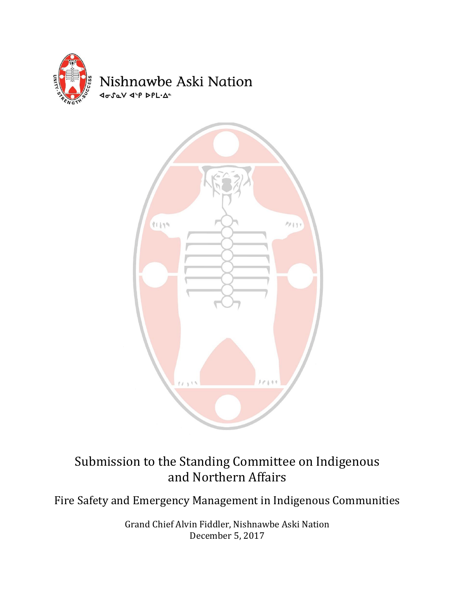



# Submission to the Standing Committee on Indigenous and Northern Affairs

Fire Safety and Emergency Management in Indigenous Communities

Grand Chief Alvin Fiddler, Nishnawbe Aski Nation December 5, 2017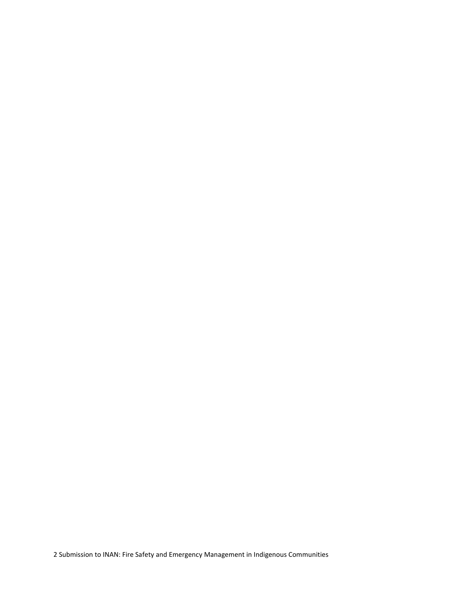Submission to INAN: Fire Safety and Emergency Management in Indigenous Communities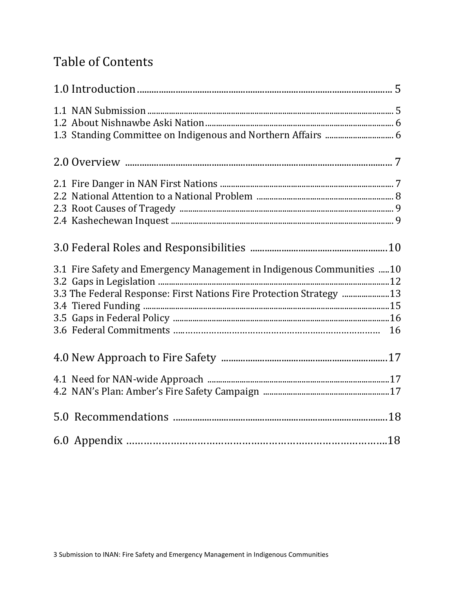# **Table of Contents**

| 1.3 Standing Committee on Indigenous and Northern Affairs  6           |  |
|------------------------------------------------------------------------|--|
|                                                                        |  |
|                                                                        |  |
|                                                                        |  |
|                                                                        |  |
|                                                                        |  |
|                                                                        |  |
| 3.1 Fire Safety and Emergency Management in Indigenous Communities  10 |  |
|                                                                        |  |
| 3.3 The Federal Response: First Nations Fire Protection Strategy  13   |  |
|                                                                        |  |
|                                                                        |  |
|                                                                        |  |
|                                                                        |  |
|                                                                        |  |
|                                                                        |  |
|                                                                        |  |
|                                                                        |  |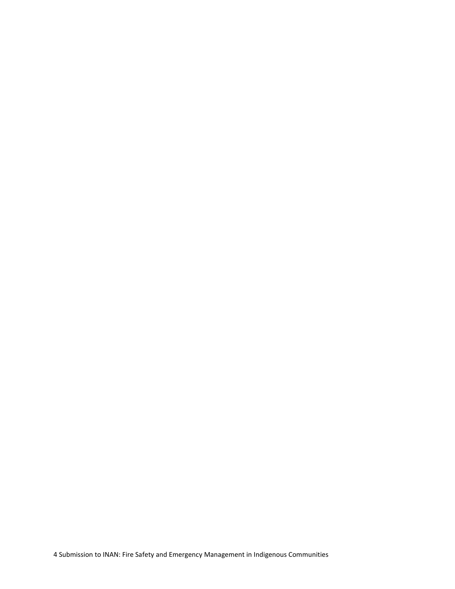Submission to INAN: Fire Safety and Emergency Management in Indigenous Communities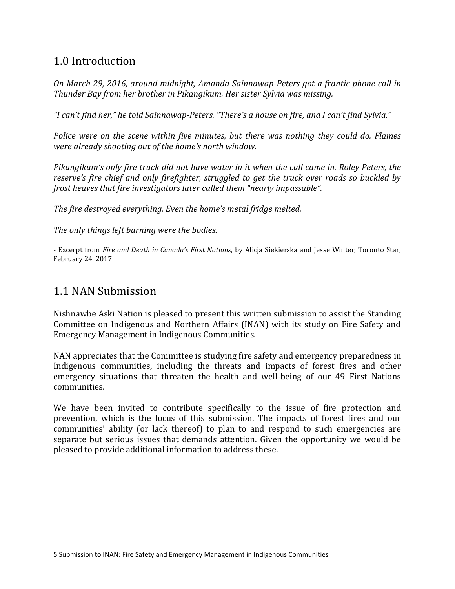# 1.0 Introduction

*On March 29, 2016, around midnight, Amanda Sainnawap-Peters got a frantic phone call in Thunder Bay from her brother in Pikangikum. Her sister Sylvia was missing.*

*"I can't find her," he told Sainnawap-Peters. "There's a house on fire, and I can't find Sylvia."*

*Police were on the scene within five minutes, but there was nothing they could do. Flames were already shooting out of the home's north window.*

*Pikangikum's only fire truck did not have water in it when the call came in. Roley Peters, the reserve's fire chief and only firefighter, struggled to get the truck over roads so buckled by frost heaves that fire investigators later called them "nearly impassable".*

*The fire destroyed everything. Even the home's metal fridge melted.*

*The only things left burning were the bodies.*

- Excerpt from *Fire and Death in Canada's First Nations*, by Alicja Siekierska and Jesse Winter, Toronto Star, February 24, 2017

# 1.1 NAN Submission

Nishnawbe Aski Nation is pleased to present this written submission to assist the Standing Committee on Indigenous and Northern Affairs (INAN) with its study on Fire Safety and Emergency Management in Indigenous Communities.

NAN appreciates that the Committee is studying fire safety and emergency preparedness in Indigenous communities, including the threats and impacts of forest fires and other emergency situations that threaten the health and well-being of our 49 First Nations communities.

We have been invited to contribute specifically to the issue of fire protection and prevention, which is the focus of this submission. The impacts of forest fires and our communities' ability (or lack thereof) to plan to and respond to such emergencies are separate but serious issues that demands attention. Given the opportunity we would be pleased to provide additional information to address these.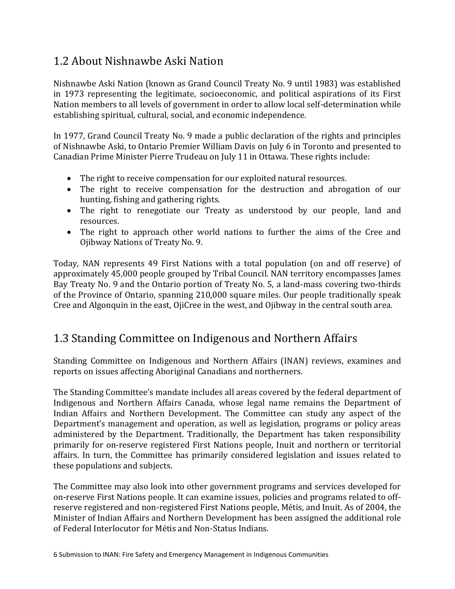# 1.2 About Nishnawbe Aski Nation

Nishnawbe Aski Nation (known as Grand Council Treaty No. 9 until 1983) was established in 1973 representing the legitimate, socioeconomic, and political aspirations of its First Nation members to all levels of government in order to allow local self-determination while establishing spiritual, cultural, social, and economic independence.

In 1977, Grand Council Treaty No. 9 made a public declaration of the rights and principles of Nishnawbe Aski, to Ontario Premier William Davis on July 6 in Toronto and presented to Canadian Prime Minister Pierre Trudeau on July 11 in Ottawa. These rights include:

- The right to receive compensation for our exploited natural resources.
- The right to receive compensation for the destruction and abrogation of our hunting, fishing and gathering rights.
- The right to renegotiate our Treaty as understood by our people, land and resources.
- The right to approach other world nations to further the aims of the Cree and Ojibway Nations of Treaty No. 9.

Today, NAN represents 49 First Nations with a total population (on and off reserve) of approximately 45,000 people grouped by Tribal Council. NAN territory encompasses James Bay Treaty No. 9 and the Ontario portion of Treaty No. 5, a land-mass covering two-thirds of the Province of Ontario, spanning 210,000 square miles. Our people traditionally speak Cree and Algonquin in the east, OjiCree in the west, and Ojibway in the central south area.

# 1.3 Standing Committee on Indigenous and Northern Affairs

Standing Committee on Indigenous and Northern Affairs (INAN) reviews, examines and reports on issues affecting Aboriginal Canadians and northerners.

The Standing Committee's mandate includes all areas covered by the federal department of Indigenous and Northern Affairs Canada, whose legal name remains the Department of Indian Affairs and Northern Development. The Committee can study any aspect of the Department's management and operation, as well as legislation, programs or policy areas administered by the Department. Traditionally, the Department has taken responsibility primarily for on-reserve registered First Nations people, Inuit and northern or territorial affairs. In turn, the Committee has primarily considered legislation and issues related to these populations and subjects.

The Committee may also look into other government programs and services developed for on-reserve First Nations people. It can examine issues, policies and programs related to offreserve registered and non-registered First Nations people, Métis, and Inuit. As of 2004, the Minister of Indian Affairs and Northern Development has been assigned the additional role of Federal Interlocutor for Métis and Non-Status Indians.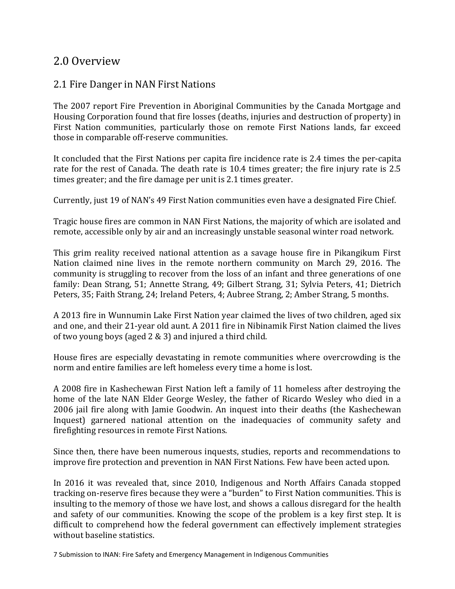### 2.0 Overview

#### 2.1 Fire Danger in NAN First Nations

The 2007 report Fire Prevention in Aboriginal Communities by the Canada Mortgage and Housing Corporation found that fire losses (deaths, injuries and destruction of property) in First Nation communities, particularly those on remote First Nations lands, far exceed those in comparable off-reserve communities.

It concluded that the First Nations per capita fire incidence rate is 2.4 times the per-capita rate for the rest of Canada. The death rate is 10.4 times greater; the fire injury rate is 2.5 times greater; and the fire damage per unit is 2.1 times greater.

Currently, just 19 of NAN's 49 First Nation communities even have a designated Fire Chief.

Tragic house fires are common in NAN First Nations, the majority of which are isolated and remote, accessible only by air and an increasingly unstable seasonal winter road network.

This grim reality received national attention as a savage house fire in Pikangikum First Nation claimed nine lives in the remote northern community on March 29, 2016. The community is struggling to recover from the loss of an infant and three generations of one family: Dean Strang, 51; Annette Strang, 49; Gilbert Strang, 31; Sylvia Peters, 41; Dietrich Peters, 35; Faith Strang, 24; Ireland Peters, 4; Aubree Strang, 2; Amber Strang, 5 months.

A 2013 fire in Wunnumin Lake First Nation year claimed the lives of two children, aged six and one, and their 21-year old aunt. A 2011 fire in Nibinamik First Nation claimed the lives of two young boys (aged 2 & 3) and injured a third child.

House fires are especially devastating in remote communities where overcrowding is the norm and entire families are left homeless every time a home is lost.

A 2008 fire in Kashechewan First Nation left a family of 11 homeless after destroying the home of the late NAN Elder George Wesley, the father of Ricardo Wesley who died in a 2006 jail fire along with Jamie Goodwin. An inquest into their deaths (the Kashechewan Inquest) garnered national attention on the inadequacies of community safety and firefighting resources in remote First Nations.

Since then, there have been numerous inquests, studies, reports and recommendations to improve fire protection and prevention in NAN First Nations. Few have been acted upon.

In 2016 it was revealed that, since 2010, Indigenous and North Affairs Canada stopped tracking on-reserve fires because they were a "burden" to First Nation communities. This is insulting to the memory of those we have lost, and shows a callous disregard for the health and safety of our communities. Knowing the scope of the problem is a key first step. It is difficult to comprehend how the federal government can effectively implement strategies without baseline statistics.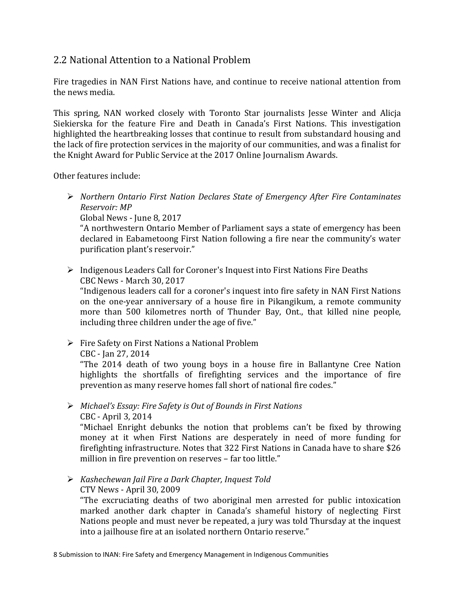### 2.2 National Attention to a National Problem

Fire tragedies in NAN First Nations have, and continue to receive national attention from the news media.

This spring, NAN worked closely with Toronto Star journalists Jesse Winter and Alicja Siekierska for the feature Fire and Death in Canada's First Nations. This investigation highlighted the heartbreaking losses that continue to result from substandard housing and the lack of fire protection services in the majority of our communities, and was a finalist for the Knight Award for Public Service at the 2017 Online Journalism Awards.

Other features include:

➢ *Northern Ontario First Nation Declares State of Emergency After Fire Contaminates Reservoir: MP*

Global News - June 8, 2017

"A northwestern Ontario Member of Parliament says a state of emergency has been declared in Eabametoong First Nation following a fire near the community's water purification plant's reservoir."

➢ Indigenous Leaders Call for Coroner's Inquest into First Nations Fire Deaths CBC News - March 30, 2017

"Indigenous leaders call for a coroner's inquest into fire safety in NAN First Nations on the one-year anniversary of a house fire in Pikangikum, a remote community more than 500 kilometres north of Thunder Bay, Ont., that killed nine people, including three children under the age of five."

➢ Fire Safety on First Nations a National Problem CBC - Jan 27, 2014

"The 2014 death of two young boys in a house fire in Ballantyne Cree Nation highlights the shortfalls of firefighting services and the importance of fire prevention as many reserve homes fall short of national fire codes."

➢ *Michael's Essay: Fire Safety is Out of Bounds in First Nations* CBC - April 3, 2014

"Michael Enright debunks the notion that problems can't be fixed by throwing money at it when First Nations are desperately in need of more funding for firefighting infrastructure. Notes that 322 First Nations in Canada have to share \$26 million in fire prevention on reserves – far too little."

➢ *Kashechewan Jail Fire a Dark Chapter, Inquest Told* CTV News - April 30, 2009

"The excruciating deaths of two aboriginal men arrested for public intoxication marked another dark chapter in Canada's shameful history of neglecting First Nations people and must never be repeated, a jury was told Thursday at the inquest into a jailhouse fire at an isolated northern Ontario reserve."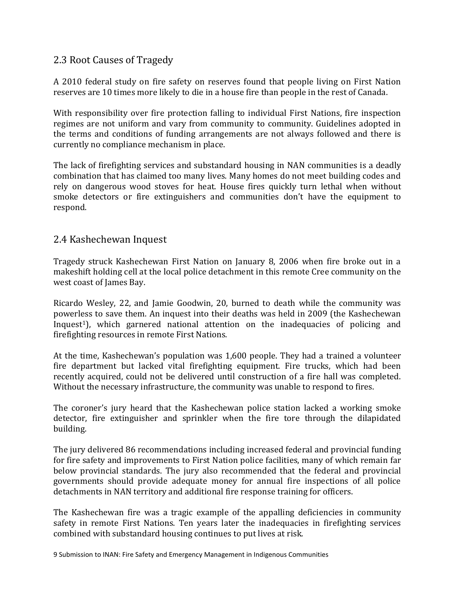#### 2.3 Root Causes of Tragedy

A 2010 federal study on fire safety on reserves found that people living on First Nation reserves are 10 times more likely to die in a house fire than people in the rest of Canada.

With responsibility over fire protection falling to individual First Nations, fire inspection regimes are not uniform and vary from community to community. Guidelines adopted in the terms and conditions of funding arrangements are not always followed and there is currently no compliance mechanism in place.

The lack of firefighting services and substandard housing in NAN communities is a deadly combination that has claimed too many lives. Many homes do not meet building codes and rely on dangerous wood stoves for heat. House fires quickly turn lethal when without smoke detectors or fire extinguishers and communities don't have the equipment to respond.

#### 2.4 Kashechewan Inquest

Tragedy struck Kashechewan First Nation on January 8, 2006 when fire broke out in a makeshift holding cell at the local police detachment in this remote Cree community on the west coast of James Bay.

Ricardo Wesley, 22, and Jamie Goodwin, 20, burned to death while the community was powerless to save them. An inquest into their deaths was held in 2009 (the Kashechewan Inquest<sup>1</sup>), which garnered national attention on the inadequacies of policing and firefighting resources in remote First Nations.

At the time, Kashechewan's population was 1,600 people. They had a trained a volunteer fire department but lacked vital firefighting equipment. Fire trucks, which had been recently acquired, could not be delivered until construction of a fire hall was completed. Without the necessary infrastructure, the community was unable to respond to fires.

The coroner's jury heard that the Kashechewan police station lacked a working smoke detector, fire extinguisher and sprinkler when the fire tore through the dilapidated building.

The jury delivered 86 recommendations including increased federal and provincial funding for fire safety and improvements to First Nation police facilities, many of which remain far below provincial standards. The jury also recommended that the federal and provincial governments should provide adequate money for annual fire inspections of all police detachments in NAN territory and additional fire response training for officers.

The Kashechewan fire was a tragic example of the appalling deficiencies in community safety in remote First Nations. Ten years later the inadequacies in firefighting services combined with substandard housing continues to put lives at risk.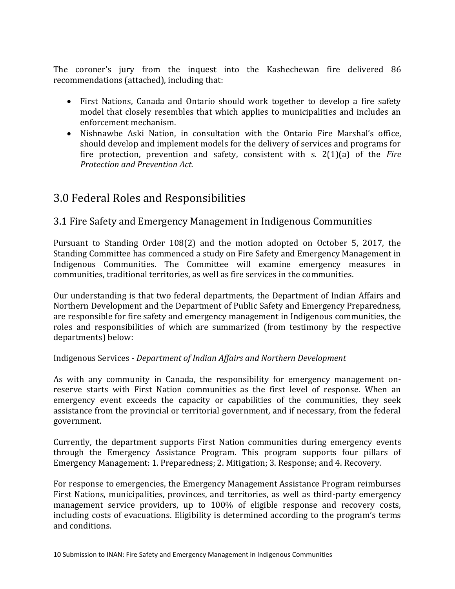The coroner's jury from the inquest into the Kashechewan fire delivered 86 recommendations (attached), including that:

- First Nations, Canada and Ontario should work together to develop a fire safety model that closely resembles that which applies to municipalities and includes an enforcement mechanism.
- Nishnawbe Aski Nation, in consultation with the Ontario Fire Marshal's office, should develop and implement models for the delivery of services and programs for fire protection, prevention and safety, consistent with s. 2(1)(a) of the *Fire Protection and Prevention Act.*

### 3.0 Federal Roles and Responsibilities

#### 3.1 Fire Safety and Emergency Management in Indigenous Communities

Pursuant to Standing Order 108(2) and the motion adopted on October 5, 2017, the Standing Committee has commenced a study on Fire Safety and Emergency Management in Indigenous Communities. The Committee will examine emergency measures in communities, traditional territories, as well as fire services in the communities.

Our understanding is that two federal departments, the Department of Indian Affairs and Northern Development and the Department of Public Safety and Emergency Preparedness, are responsible for fire safety and emergency management in Indigenous communities, the roles and responsibilities of which are summarized (from testimony by the respective departments) below:

#### Indigenous Services - *Department of Indian Affairs and Northern Development*

As with any community in Canada, the responsibility for emergency management onreserve starts with First Nation communities as the first level of response. When an emergency event exceeds the capacity or capabilities of the communities, they seek assistance from the provincial or territorial government, and if necessary, from the federal government.

Currently, the department supports First Nation communities during emergency events through the Emergency Assistance Program. This program supports four pillars of Emergency Management: 1. Preparedness; 2. Mitigation; 3. Response; and 4. Recovery.

For response to emergencies, the Emergency Management Assistance Program reimburses First Nations, municipalities, provinces, and territories, as well as third-party emergency management service providers, up to 100% of eligible response and recovery costs, including costs of evacuations. Eligibility is determined according to the program's terms and conditions.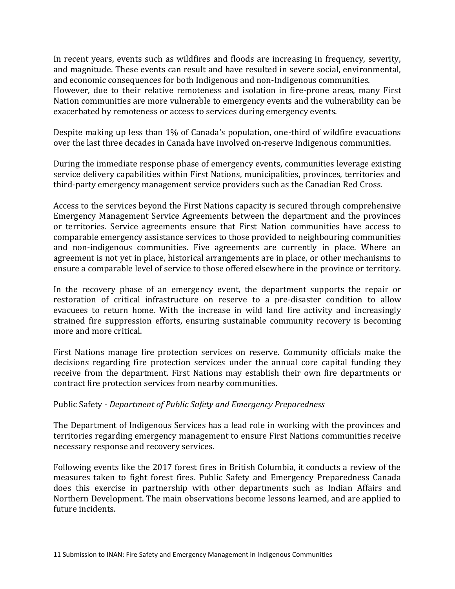In recent years, events such as wildfires and floods are increasing in frequency, severity, and magnitude. These events can result and have resulted in severe social, environmental, and economic consequences for both Indigenous and non-Indigenous communities. However, due to their relative remoteness and isolation in fire-prone areas, many First Nation communities are more vulnerable to emergency events and the vulnerability can be exacerbated by remoteness or access to services during emergency events.

Despite making up less than 1% of Canada's population, one-third of wildfire evacuations over the last three decades in Canada have involved on-reserve Indigenous communities.

During the immediate response phase of emergency events, communities leverage existing service delivery capabilities within First Nations, municipalities, provinces, territories and third-party emergency management service providers such as the Canadian Red Cross.

Access to the services beyond the First Nations capacity is secured through comprehensive Emergency Management Service Agreements between the department and the provinces or territories. Service agreements ensure that First Nation communities have access to comparable emergency assistance services to those provided to neighbouring communities and non-indigenous communities. Five agreements are currently in place. Where an agreement is not yet in place, historical arrangements are in place, or other mechanisms to ensure a comparable level of service to those offered elsewhere in the province or territory.

In the recovery phase of an emergency event, the department supports the repair or restoration of critical infrastructure on reserve to a pre-disaster condition to allow evacuees to return home. With the increase in wild land fire activity and increasingly strained fire suppression efforts, ensuring sustainable community recovery is becoming more and more critical.

First Nations manage fire protection services on reserve. Community officials make the decisions regarding fire protection services under the annual core capital funding they receive from the department. First Nations may establish their own fire departments or contract fire protection services from nearby communities.

#### Public Safety - *Department of Public Safety and Emergency Preparedness*

The Department of Indigenous Services has a lead role in working with the provinces and territories regarding emergency management to ensure First Nations communities receive necessary response and recovery services.

Following events like the 2017 forest fires in British Columbia, it conducts a review of the measures taken to fight forest fires. Public Safety and Emergency Preparedness Canada does this exercise in partnership with other departments such as Indian Affairs and Northern Development. The main observations become lessons learned, and are applied to future incidents.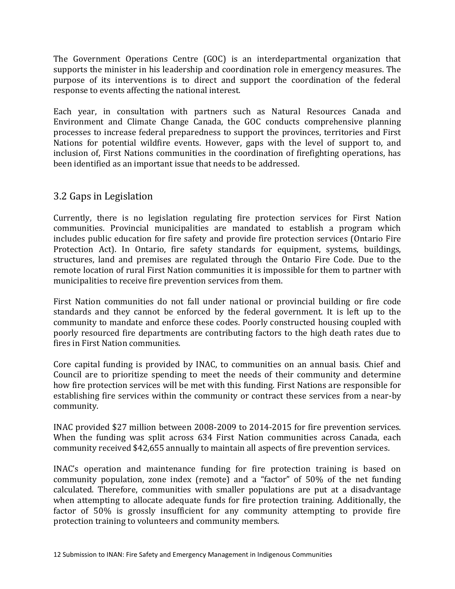The Government Operations Centre (GOC) is an interdepartmental organization that supports the minister in his leadership and coordination role in emergency measures. The purpose of its interventions is to direct and support the coordination of the federal response to events affecting the national interest.

Each year, in consultation with partners such as Natural Resources Canada and Environment and Climate Change Canada, the GOC conducts comprehensive planning processes to increase federal preparedness to support the provinces, territories and First Nations for potential wildfire events. However, gaps with the level of support to, and inclusion of, First Nations communities in the coordination of firefighting operations, has been identified as an important issue that needs to be addressed.

#### 3.2 Gaps in Legislation

Currently, there is no legislation regulating fire protection services for First Nation communities. Provincial municipalities are mandated to establish a program which includes public education for fire safety and provide fire protection services (Ontario Fire Protection Act). In Ontario, fire safety standards for equipment, systems, buildings, structures, land and premises are regulated through the Ontario Fire Code. Due to the remote location of rural First Nation communities it is impossible for them to partner with municipalities to receive fire prevention services from them.

First Nation communities do not fall under national or provincial building or fire code standards and they cannot be enforced by the federal government. It is left up to the community to mandate and enforce these codes. Poorly constructed housing coupled with poorly resourced fire departments are contributing factors to the high death rates due to fires in First Nation communities.

Core capital funding is provided by INAC, to communities on an annual basis. Chief and Council are to prioritize spending to meet the needs of their community and determine how fire protection services will be met with this funding. First Nations are responsible for establishing fire services within the community or contract these services from a near-by community.

INAC provided \$27 million between 2008-2009 to 2014-2015 for fire prevention services. When the funding was split across 634 First Nation communities across Canada, each community received \$42,655 annually to maintain all aspects of fire prevention services.

INAC's operation and maintenance funding for fire protection training is based on community population, zone index (remote) and a "factor" of 50% of the net funding calculated. Therefore, communities with smaller populations are put at a disadvantage when attempting to allocate adequate funds for fire protection training. Additionally, the factor of 50% is grossly insufficient for any community attempting to provide fire protection training to volunteers and community members.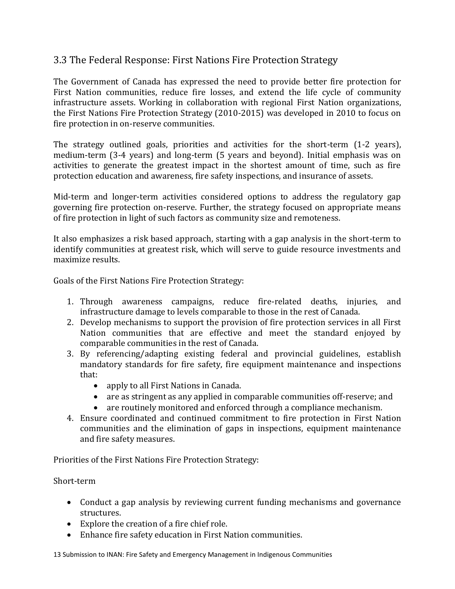### 3.3 The Federal Response: First Nations Fire Protection Strategy

The Government of Canada has expressed the need to provide better fire protection for First Nation communities, reduce fire losses, and extend the life cycle of community infrastructure assets. Working in collaboration with regional First Nation organizations, the First Nations Fire Protection Strategy (2010-2015) was developed in 2010 to focus on fire protection in on-reserve communities.

The strategy outlined goals, priorities and activities for the short-term (1-2 years), medium-term (3-4 years) and long-term (5 years and beyond). Initial emphasis was on activities to generate the greatest impact in the shortest amount of time, such as fire protection education and awareness, fire safety inspections, and insurance of assets.

Mid-term and longer-term activities considered options to address the regulatory gap governing fire protection on-reserve. Further, the strategy focused on appropriate means of fire protection in light of such factors as community size and remoteness.

It also emphasizes a risk based approach, starting with a gap analysis in the short-term to identify communities at greatest risk, which will serve to guide resource investments and maximize results.

Goals of the First Nations Fire Protection Strategy:

- 1. Through awareness campaigns, reduce fire-related deaths, injuries, and infrastructure damage to levels comparable to those in the rest of Canada.
- 2. Develop mechanisms to support the provision of fire protection services in all First Nation communities that are effective and meet the standard enjoyed by comparable communities in the rest of Canada.
- 3. By referencing/adapting existing federal and provincial guidelines, establish mandatory standards for fire safety, fire equipment maintenance and inspections that:
	- apply to all First Nations in Canada.
	- are as stringent as any applied in comparable communities off-reserve; and
	- are routinely monitored and enforced through a compliance mechanism.
- 4. Ensure coordinated and continued commitment to fire protection in First Nation communities and the elimination of gaps in inspections, equipment maintenance and fire safety measures.

Priorities of the First Nations Fire Protection Strategy:

#### Short-term

- Conduct a gap analysis by reviewing current funding mechanisms and governance structures.
- Explore the creation of a fire chief role.
- Enhance fire safety education in First Nation communities.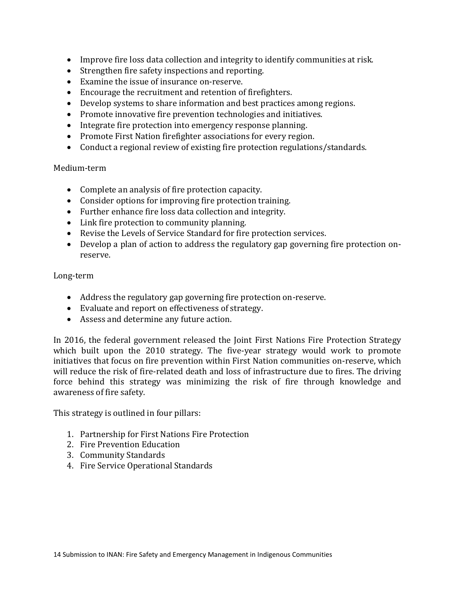- Improve fire loss data collection and integrity to identify communities at risk.
- Strengthen fire safety inspections and reporting.
- Examine the issue of insurance on-reserve.
- Encourage the recruitment and retention of firefighters.
- Develop systems to share information and best practices among regions.
- Promote innovative fire prevention technologies and initiatives.
- Integrate fire protection into emergency response planning.
- Promote First Nation firefighter associations for every region.
- Conduct a regional review of existing fire protection regulations/standards.

#### Medium-term

- Complete an analysis of fire protection capacity.
- Consider options for improving fire protection training.
- Further enhance fire loss data collection and integrity.
- Link fire protection to community planning.
- Revise the Levels of Service Standard for fire protection services.
- Develop a plan of action to address the regulatory gap governing fire protection onreserve.

#### Long-term

- Address the regulatory gap governing fire protection on-reserve.
- Evaluate and report on effectiveness of strategy.
- Assess and determine any future action.

In 2016, the federal government released the Joint First Nations Fire Protection Strategy which built upon the 2010 strategy. The five-year strategy would work to promote initiatives that focus on fire prevention within First Nation communities on-reserve, which will reduce the risk of fire-related death and loss of infrastructure due to fires. The driving force behind this strategy was minimizing the risk of fire through knowledge and awareness of fire safety.

This strategy is outlined in four pillars:

- 1. Partnership for First Nations Fire Protection
- 2. Fire Prevention Education
- 3. Community Standards
- 4. Fire Service Operational Standards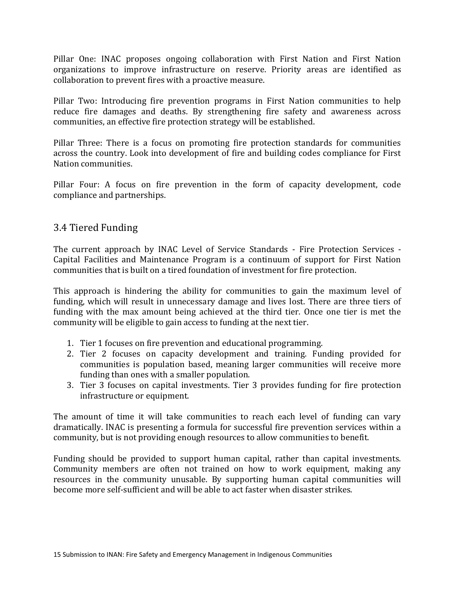Pillar One: INAC proposes ongoing collaboration with First Nation and First Nation organizations to improve infrastructure on reserve. Priority areas are identified as collaboration to prevent fires with a proactive measure.

Pillar Two: Introducing fire prevention programs in First Nation communities to help reduce fire damages and deaths. By strengthening fire safety and awareness across communities, an effective fire protection strategy will be established.

Pillar Three: There is a focus on promoting fire protection standards for communities across the country. Look into development of fire and building codes compliance for First Nation communities.

Pillar Four: A focus on fire prevention in the form of capacity development, code compliance and partnerships.

#### 3.4 Tiered Funding

The current approach by INAC Level of Service Standards - Fire Protection Services - Capital Facilities and Maintenance Program is a continuum of support for First Nation communities that is built on a tired foundation of investment for fire protection.

This approach is hindering the ability for communities to gain the maximum level of funding, which will result in unnecessary damage and lives lost. There are three tiers of funding with the max amount being achieved at the third tier. Once one tier is met the community will be eligible to gain access to funding at the next tier.

- 1. Tier 1 focuses on fire prevention and educational programming.
- 2. Tier 2 focuses on capacity development and training. Funding provided for communities is population based, meaning larger communities will receive more funding than ones with a smaller population.
- 3. Tier 3 focuses on capital investments. Tier 3 provides funding for fire protection infrastructure or equipment.

The amount of time it will take communities to reach each level of funding can vary dramatically. INAC is presenting a formula for successful fire prevention services within a community, but is not providing enough resources to allow communities to benefit.

Funding should be provided to support human capital, rather than capital investments. Community members are often not trained on how to work equipment, making any resources in the community unusable. By supporting human capital communities will become more self-sufficient and will be able to act faster when disaster strikes.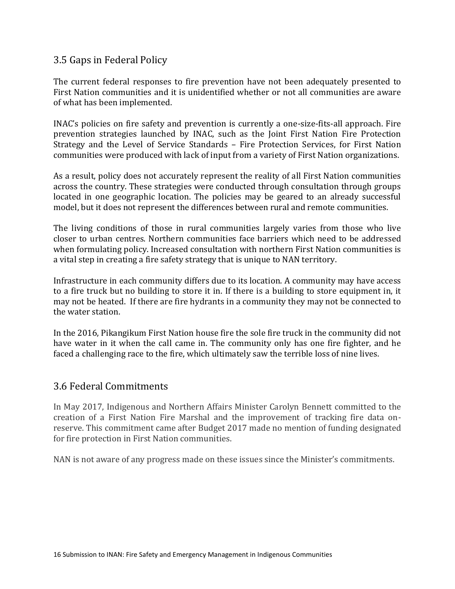### 3.5 Gaps in Federal Policy

The current federal responses to fire prevention have not been adequately presented to First Nation communities and it is unidentified whether or not all communities are aware of what has been implemented.

INAC's policies on fire safety and prevention is currently a one-size-fits-all approach. Fire prevention strategies launched by INAC, such as the Joint First Nation Fire Protection Strategy and the Level of Service Standards – Fire Protection Services, for First Nation communities were produced with lack of input from a variety of First Nation organizations.

As a result, policy does not accurately represent the reality of all First Nation communities across the country. These strategies were conducted through consultation through groups located in one geographic location. The policies may be geared to an already successful model, but it does not represent the differences between rural and remote communities.

The living conditions of those in rural communities largely varies from those who live closer to urban centres. Northern communities face barriers which need to be addressed when formulating policy. Increased consultation with northern First Nation communities is a vital step in creating a fire safety strategy that is unique to NAN territory.

Infrastructure in each community differs due to its location. A community may have access to a fire truck but no building to store it in. If there is a building to store equipment in, it may not be heated. If there are fire hydrants in a community they may not be connected to the water station.

In the 2016, Pikangikum First Nation house fire the sole fire truck in the community did not have water in it when the call came in. The community only has one fire fighter, and he faced a challenging race to the fire, which ultimately saw the terrible loss of nine lives.

#### 3.6 Federal Commitments

In May 2017, Indigenous and Northern Affairs Minister Carolyn Bennett committed to the creation of a First Nation Fire Marshal and the improvement of tracking fire data onreserve. This commitment came after Budget 2017 made no mention of funding designated for fire protection in First Nation communities.

NAN is not aware of any progress made on these issues since the Minister's commitments.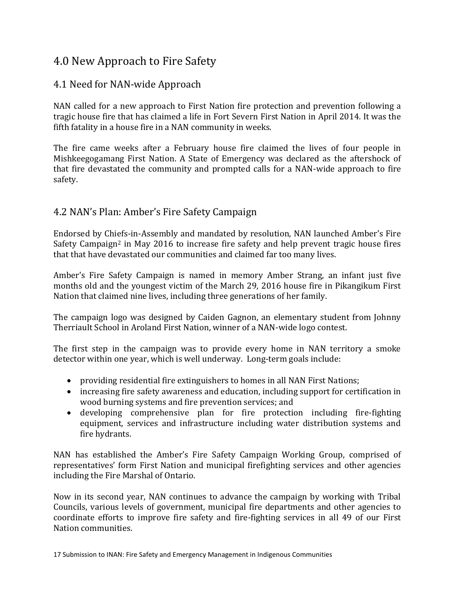## 4.0 New Approach to Fire Safety

### 4.1 Need for NAN-wide Approach

NAN called for a new approach to First Nation fire protection and prevention following a tragic house fire that has claimed a life in Fort Severn First Nation in April 2014. It was the fifth fatality in a house fire in a NAN community in weeks.

The fire came weeks after a February house fire claimed the lives of four people in Mishkeegogamang First Nation. A State of Emergency was declared as the aftershock of that fire devastated the community and prompted calls for a NAN-wide approach to fire safety.

### 4.2 NAN's Plan: Amber's Fire Safety Campaign

Endorsed by Chiefs-in-Assembly and mandated by resolution, NAN launched Amber's Fire Safety Campaign<sup>2</sup> in May 2016 to increase fire safety and help prevent tragic house fires that that have devastated our communities and claimed far too many lives.

Amber's Fire Safety Campaign is named in memory Amber Strang, an infant just five months old and the youngest victim of the March 29, 2016 house fire in Pikangikum First Nation that claimed nine lives, including three generations of her family.

The campaign logo was designed by Caiden Gagnon, an elementary student from Johnny Therriault School in Aroland First Nation, winner of a NAN-wide logo contest.

The first step in the campaign was to provide every home in NAN territory a smoke detector within one year, which is well underway. Long-term goals include:

- providing residential fire extinguishers to homes in all NAN First Nations;
- increasing fire safety awareness and education, including support for certification in wood burning systems and fire prevention services; and
- developing comprehensive plan for fire protection including fire-fighting equipment, services and infrastructure including water distribution systems and fire hydrants.

NAN has established the Amber's Fire Safety Campaign Working Group, comprised of representatives' form First Nation and municipal firefighting services and other agencies including the Fire Marshal of Ontario.

Now in its second year, NAN continues to advance the campaign by working with Tribal Councils, various levels of government, municipal fire departments and other agencies to coordinate efforts to improve fire safety and fire-fighting services in all 49 of our First Nation communities.